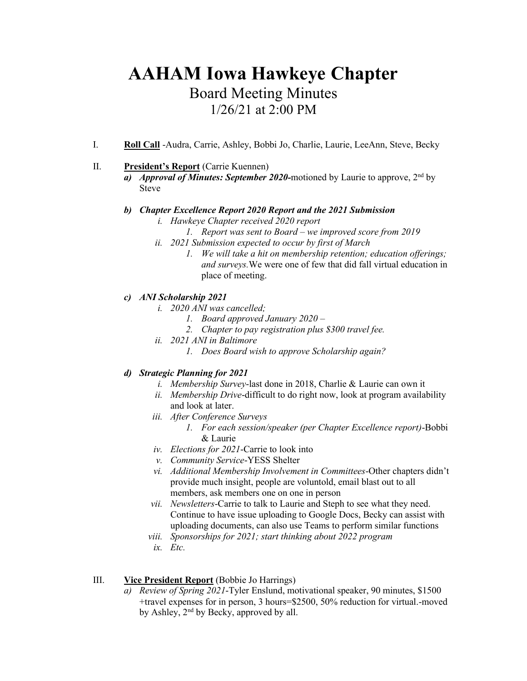# **AAHAM Iowa Hawkeye Chapter** Board Meeting Minutes 1/26/21 at 2:00 PM

I. **Roll Call** -Audra, Carrie, Ashley, Bobbi Jo, Charlie, Laurie, LeeAnn, Steve, Becky

# II. **President's Report** (Carrie Kuennen)

a) *Approval of Minutes: September 2020*-motioned by Laurie to approve,  $2^{nd}$  by Steve

## *b) Chapter Excellence Report 2020 Report and the 2021 Submission*

- *i. Hawkeye Chapter received 2020 report*
	- *1. Report was sent to Board – we improved score from 2019*
- *ii. 2021 Submission expected to occur by first of March*
	- *1. We will take a hit on membership retention; education offerings; and surveys.*We were one of few that did fall virtual education in place of meeting.

# *c) ANI Scholarship 2021*

- *i. 2020 ANI was cancelled;* 
	- *1. Board approved January 2020 –*
	- *2. Chapter to pay registration plus \$300 travel fee.*
- *ii. 2021 ANI in Baltimore*
	- *1. Does Board wish to approve Scholarship again?*

# *d) Strategic Planning for 2021*

- *i. Membership Survey*-last done in 2018, Charlie & Laurie can own it
- *ii. Membership Drive*-difficult to do right now, look at program availability and look at later.
- *iii. After Conference Surveys*
	- *1. For each session/speaker (per Chapter Excellence report)*-Bobbi & Laurie
- *iv. Elections for 2021*-Carrie to look into
- *v. Community Service*-YESS Shelter
- *vi. Additional Membership Involvement in Committees*-Other chapters didn't provide much insight, people are voluntold, email blast out to all members, ask members one on one in person
- *vii. Newsletters*-Carrie to talk to Laurie and Steph to see what they need. Continue to have issue uploading to Google Docs, Becky can assist with uploading documents, can also use Teams to perform similar functions
- *viii. Sponsorships for 2021; start thinking about 2022 program*
- *ix. Etc.*

# III. **Vice President Report** (Bobbie Jo Harrings)

*a) Review of Spring 2021*-Tyler Enslund, motivational speaker, 90 minutes, \$1500 +travel expenses for in person, 3 hours=\$2500, 50% reduction for virtual.-moved by Ashley,  $2<sup>nd</sup>$  by Becky, approved by all.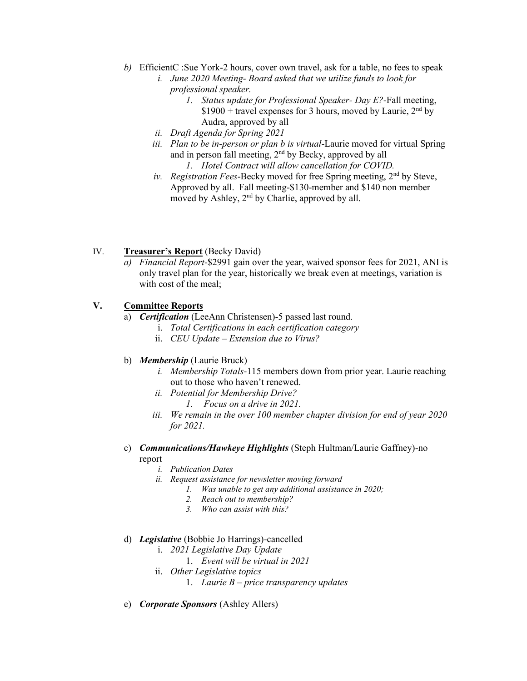- *b)* EfficientC :Sue York-2 hours, cover own travel, ask for a table, no fees to speak
	- *i. June 2020 Meeting- Board asked that we utilize funds to look for professional speaker.*
		- *1. Status update for Professional Speaker- Day E?*-Fall meeting,  $$1900 +$  travel expenses for 3 hours, moved by Laurie, 2<sup>nd</sup> by Audra, approved by all
	- *ii. Draft Agenda for Spring 2021*
	- *iii. Plan to be in-person or plan b is virtual*-Laurie moved for virtual Spring and in person fall meeting, 2nd by Becky, approved by all *1. Hotel Contract will allow cancellation for COVID.*
	- *iv. Registration Fees*-Becky moved for free Spring meeting, 2nd by Steve, Approved by all. Fall meeting-\$130-member and \$140 non member moved by Ashley, 2<sup>nd</sup> by Charlie, approved by all.

# IV. **Treasurer's Report** (Becky David)

*a) Financial Report*-\$2991 gain over the year, waived sponsor fees for 2021, ANI is only travel plan for the year, historically we break even at meetings, variation is with cost of the meal;

## **V. Committee Reports**

- a) *Certification* (LeeAnn Christensen)-5 passed last round.
	- i. *Total Certifications in each certification category*
	- ii. *CEU Update Extension due to Virus?*

## b) *Membership* (Laurie Bruck)

- *i. Membership Totals*-115 members down from prior year. Laurie reaching out to those who haven't renewed.
- *ii. Potential for Membership Drive?*
	- *1. Focus on a drive in 2021.*
- *iii. We remain in the over 100 member chapter division for end of year 2020 for 2021.*
- c) *Communications/Hawkeye Highlights* (Steph Hultman/Laurie Gaffney)-no report
	- *i. Publication Dates*
	- *ii. Request assistance for newsletter moving forward*
		- *1. Was unable to get any additional assistance in 2020;*
		- *2. Reach out to membership?*
		- *3. Who can assist with this?*

## d) *Legislative* (Bobbie Jo Harrings)-cancelled

- i. *2021 Legislative Day Update*
	- 1. *Event will be virtual in 2021*
- ii. *Other Legislative topics*
	- 1. *Laurie B – price transparency updates*
- e) *Corporate Sponsors* (Ashley Allers)